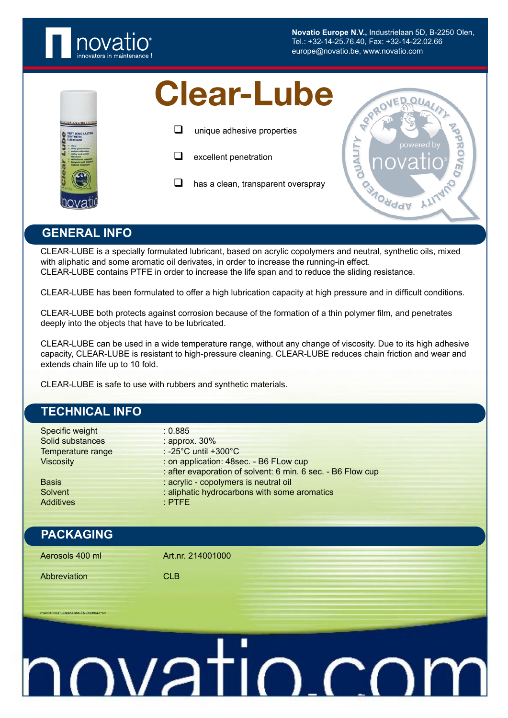

**Novatio Europe N.V.,** Industrielaan 5D, B-2250 Olen, Tel.: +32-14-25.76.40, Fax: +32-14-22.02.66 europe@novatio.be, www.novatio.com

- - $\Box$  unique adhesive properties
	- $\Box$  excellent penetration
	- has a clean, transparent overspray



### **GENERAL INFO**

CLEAR-LUBE is a specially formulated lubricant, based on acrylic copolymers and neutral, synthetic oils, mixed with aliphatic and some aromatic oil derivates, in order to increase the running-in effect. CLEAR-LUBE contains PTFE in order to increase the life span and to reduce the sliding resistance.

CLEAR-LUBE has been formulated to offer a high lubrication capacity at high pressure and in difficult conditions.

CLEAR-LUBE both protects against corrosion because of the formation of a thin polymer film, and penetrates deeply into the objects that have to be lubricated.

CLEAR-LUBE can be used in a wide temperature range, without any change of viscosity. Due to its high adhesive capacity, CLEAR-LUBE is resistant to high-pressure cleaning. CLEAR-LUBE reduces chain friction and wear and extends chain life up to 10 fold.

CLEAR-LUBE is safe to use with rubbers and synthetic materials.

## **TECHNICAL INFO** Specific weight : 0.885 Solid substances : approx. 30% Temperature range : -25°C until +300°C Viscosity : on application: 48sec. - B6 FLow cup : after evaporation of solvent: 6 min. 6 sec. - B6 Flow cup Basis : acrylic - copolymers is neutral oil Solvent : aliphatic hydrocarbons with some aromatics Additives : PTFE **PACKAGING** Aerosols 400 ml **Art.nr.** 214001000 Abbreviation CLB 214001000-PI-Clear-Lube-EN-060804-<u>IOVatio.co</u>